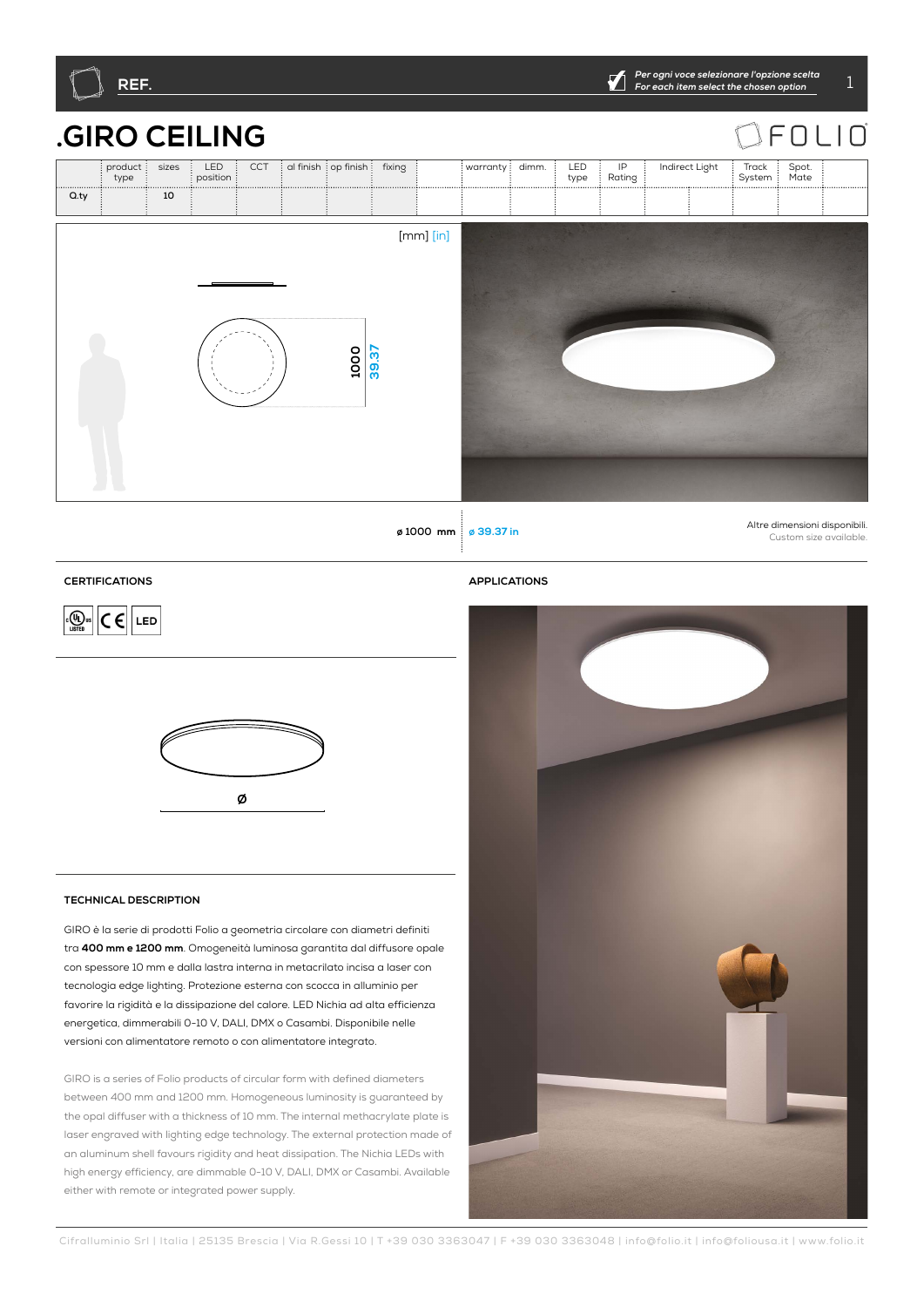

# **.GIRO CEILING**

|      | <b>GIRO CEILING</b> |       |                   |     |                                |      |       |               |                  |  |             |                                      |                |                 | FOLIC         |  |
|------|---------------------|-------|-------------------|-----|--------------------------------|------|-------|---------------|------------------|--|-------------|--------------------------------------|----------------|-----------------|---------------|--|
|      | product:<br>type    | sizes | LED<br>position : | CCT | al finish : op finish : fixing |      |       |               | warranty : dimm. |  | LED<br>type | $\ensuremath{\mathsf{IP}}$<br>Rating | Indirect Light | Track<br>System | Spot.<br>Mate |  |
| Q.ty |                     | 10    |                   |     |                                |      |       |               |                  |  |             |                                      |                |                 |               |  |
|      |                     |       |                   |     |                                | 1000 | 39.37 | $[mm]$ $[in]$ |                  |  |             |                                      |                |                 |               |  |

**ø 1000 mm <sup>ø</sup> 39.37 in** Altre dimensioni disponibili. Custom size available.

## **CERTIFICATIONS APPLICATIONS**

 $\boxed{C \in \left[\frac{1}{\sqrt{2}}\right]}$   $C \in \left[\frac{1}{\sqrt{2}}\right]$  LED



## **TECHNICAL DESCRIPTION**

GIRO è la serie di prodotti Folio a geometria circolare con diametri definiti tra **400 mm e 1200 mm**. Omogeneità luminosa garantita dal diffusore opale con spessore 10 mm e dalla lastra interna in metacrilato incisa a laser con tecnologia edge lighting. Protezione esterna con scocca in alluminio per favorire la rigidità e la dissipazione del calore. LED Nichia ad alta efficienza energetica, dimmerabili 0-10 V, DALI, DMX o Casambi. Disponibile nelle versioni con alimentatore remoto o con alimentatore integrato.

GIRO is a series of Folio products of circular form with defined diameters between 400 mm and 1200 mm. Homogeneous luminosity is guaranteed by the opal diffuser with a thickness of 10 mm. The internal methacrylate plate is laser engraved with lighting edge technology. The external protection made of an aluminum shell favours rigidity and heat dissipation. The Nichia LEDs with high energy efficiency, are dimmable 0-10 V, DALI, DMX or Casambi. Available either with remote or integrated power supply.

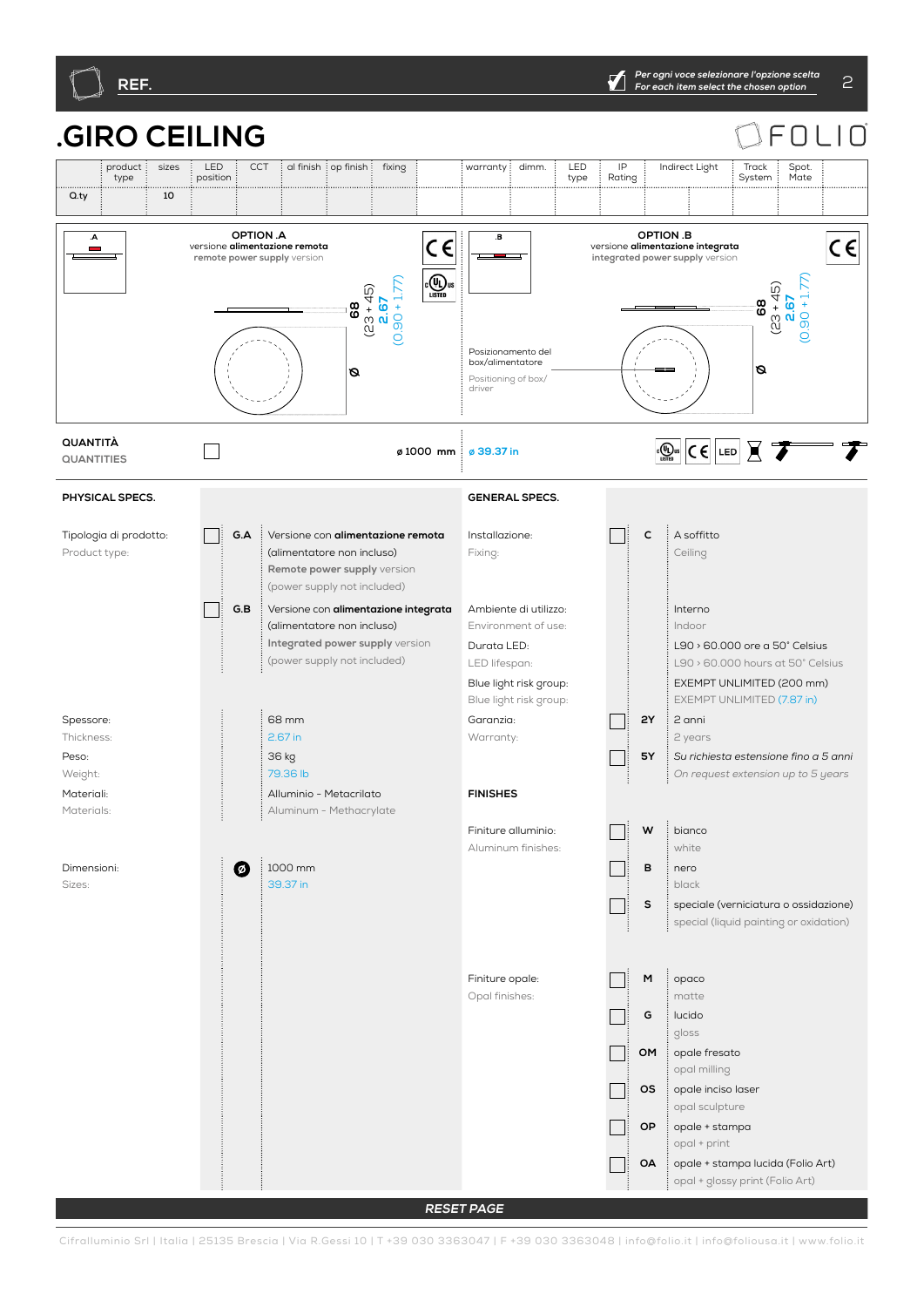

#### **.GIRO CEILING**  $\bigcap$  $\Box$ ⊏ product sizes : LED  $\overline{\text{CCT}}$  al finish  $\overline{\text{ion}}$  finish  $\overline{\text{ion}}$  fixing  $\overline{\text{ion}}$  warranty  $\overline{\text{olmm}}$   $\overline{\text{olmm}}$  . IP Indirect Light Track Spot. type position type Rating System Mate **Q.ty** 10 **G.A G.BP2P1 TWRQ3040352757 WBS OMOAOPOSMG C 2Y5Y 010 DMDACA ONV 4065DL SMBASE TINY45 TINY STK TS SA RQ3040352757 TWRQ304057R OPTION .A OPTION .B**   $\overline{A}$  $\overline{\mathbf{B}}$  $C \in$  $C \in$ versione **alimentazione remota remote power supply** version versione **alimentazione integrata integrated power supply** version  $\overline{\text{C}}$   $\overline{\text{U}}$ <sub>us</sub>  $(0.90 + 1.77)$  $(0.90 + 1.77)$  $90 + 1.77$ (23 + 45) (23 + 45) **2.67 2.67** 68 **8**<br>6 **68** Posizionamento del box/alimentatore **ØØ** Positioning of box/ driver **QUANTITÀ**  $\boxed{C \oplus \text{tr} \cup C \cup C}$   $\boxed{LED}$   $\boxed{C}$ **QUANTITIES ø 1000 mm <sup>ø</sup> 39.37 in PHYSICAL SPECS. GENERAL SPECS. G.A** Versione con **alimentazione remota C** A soffitto Tipologia di prodotto: Installazione: Product type: (alimentatore non incluso) Fixing: Ceiling **Remote power supply** version (power supply not included) Пi **G.B** Versione con **alimentazione integrata** Ambiente di utilizzo: Interno (alimentatore non incluso) Environment of use: Indoor **Integrated power supply** version L90 > 60.000 ore a 50° Celsius Durata LED: (power supply not included) LED lifespan: L90 > 60.000 hours at 50° Celsius Blue light risk group: EXEMPT UNLIMITED (200 mm) Blue light risk group: EXEMPT UNLIMITED (7.87 in) 68 mm **2Y** 2 anni Spessore: Garanzia:  $\blacksquare$ Thickness: 2.67 in Warranty: 2 years Peso: 36 kg **5Y** *Su richiesta estensione fino a 5 anni* 79.36 lb Weight: *On request extension up to 5 years* **FINISHES** Materiali: Alluminio - Metacrilato Materials: Aluminum - Methacrylate  $W \stackrel{\text{if}}{\longrightarrow}$ Finiture alluminio: white Aluminum finishes:  $\boldsymbol{O}$ 1000 mm **B** nero Dimensioni: 39.37 in black Sizes: **S** speciale (verniciatura o ossidazione) special (liquid painting or oxidation) Finiture opale: **M** opaco Opal finishes: matte **G** lucido gloss **OM** : opale fresato opal milling **OS** opale inciso laser opal sculpture **OP** : opale + stampa opal + print **OA** opale + stampa lucida (Folio Art) opal + glossy print (Folio Art)

**RESET PAGE**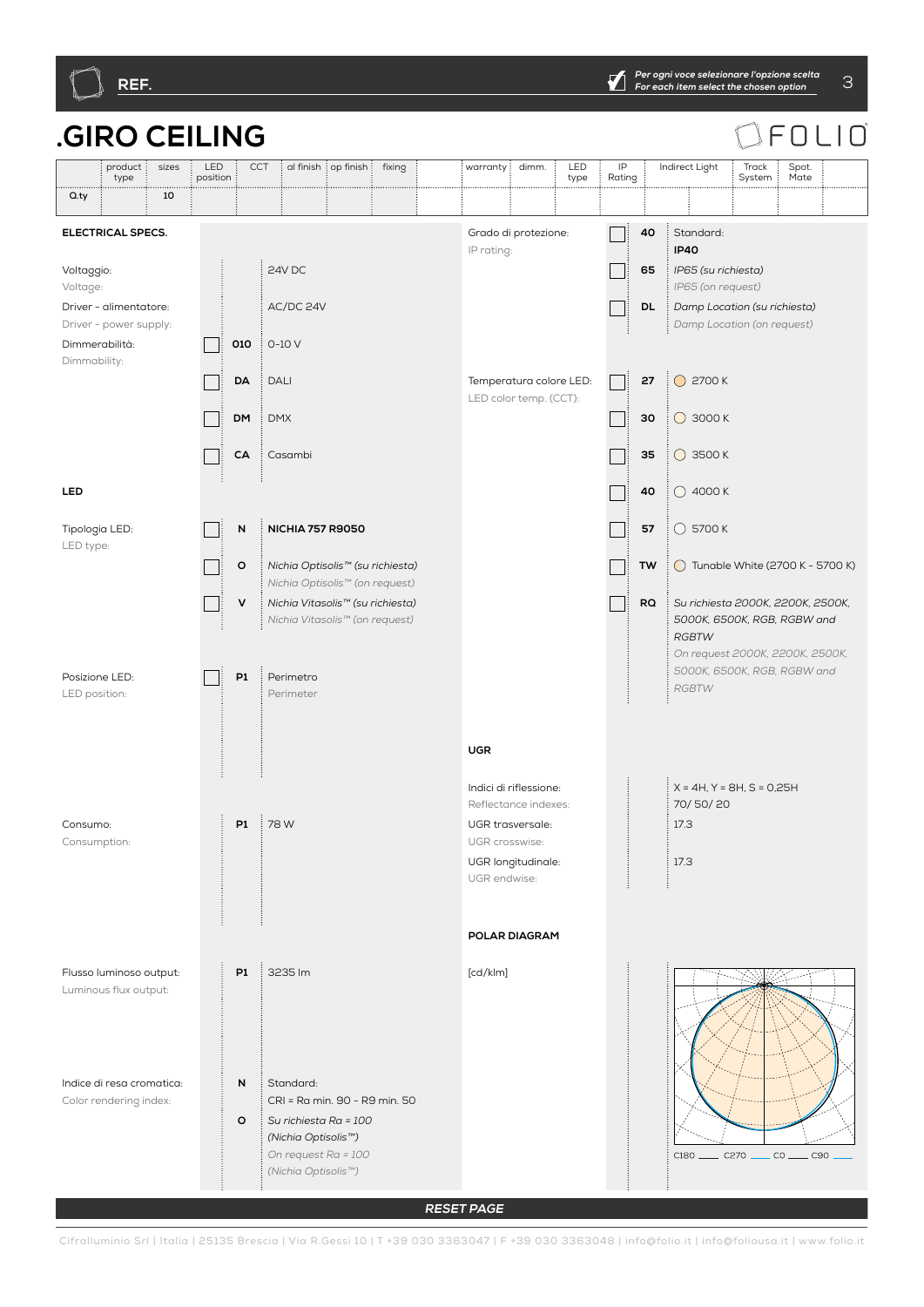

#### **.GIRO CEILING** FOLIO product sizes : LED CCT di finish op finish fixing warranty dimm. LED IP Indirect Light Track Spot. type position type Rating System Mate **Q.ty** 10 **G.A G.BP2P1 TWRQ3040352757 WBS OMOAOPOSMG C 2Y5Y 010 DMDACA ONV 4065DL SMBASE TINY45 TINY STK TS SA RQ3040352757 TWRQ304057R ELECTRICAL SPECS.** Grado di protezione: **40** Standard:  $\Box$ IP rating: **IP40** 24V DC Voltaggio: **65** *IP65 (su richiesta)* Voltage: *IP65 (on request)* AC/DC 24V Driver - alimentatore: **DL** *Damp Location (su richiesta)* Driver - power supply: *Damp Location (on request)* Dimmerabilità: **010**  $\cdot$  0-10 V **Tara** Dimmability: **27**  $\bigcirc$  2700 K **DA** DALI Temperatura colore LED: Пi LED color temp. (CCT): **DM** DMX **30 ○** 3000 K  $\Box$ **35 ○** 3500 K **CA** Casambi  $\mathbf{I}$ **LED 40**  $\bigcirc$  4000 K **N NICHIA 757 R9050 57**  $\vdots$  5700 K Tipologia LED:  $\Box$ LED type: **O** *Nichia Optisolis™ (su richiesta)*  **TW**  $\bigcirc$  Tunable White (2700 K - 5700 K) *Nichia Optisolis™ (on request)* **V** *Nichia Vitasolis™ (su richiesta)* **RQ** *Su richiesta 2000K, 2200K, 2500K,*   $\Box$ *Nichia Vitasolis™ (on request) 5000K, 6500K, RGB, RGBW and RGBTW On request 2000K, 2200K, 2500K, 5000K, 6500K, RGB, RGBW and*  Posizione LED: **P1** Perimetro  $\Box$ *RGBTW* LED position: Perimeter **UGR** X = 4H, Y = 8H, S = 0,25H Indici di riflessione: 70/ 50/ 20 Reflectance indexes: **P1** 78 W UGR trasversale: 17.3 Consumo: Consumption: UGR crosswise: UGR longitudinale: 17.3 UGR endwise: **POLAR DIAGRAM P1** 3235 lm [cd/klm] Flusso luminoso output: Luminous flux output: **N** Standard: Indice di resa cromatica: CRI = Ra min. 90 - R9 min. 50 Color rendering index: **O** *Su richiesta Ra = 100 (Nichia Optisolis™) On request Ra = 100*   $C180$  \_\_\_\_\_\_  $C270$  .  $\overline{\phantom{a}}$  co  $\overline{\phantom{a}}$  $\overline{\phantom{0}}$  C90 *(Nichia Optisolis™)*

**RESET PAGE**

Cifralluminio Srl | Italia | 25135 Brescia | Via R.Gessi 10 | T +39 030 3363047 | F +39 030 3363048 | info@folio.it | info@foliousa.it | www.folio.it